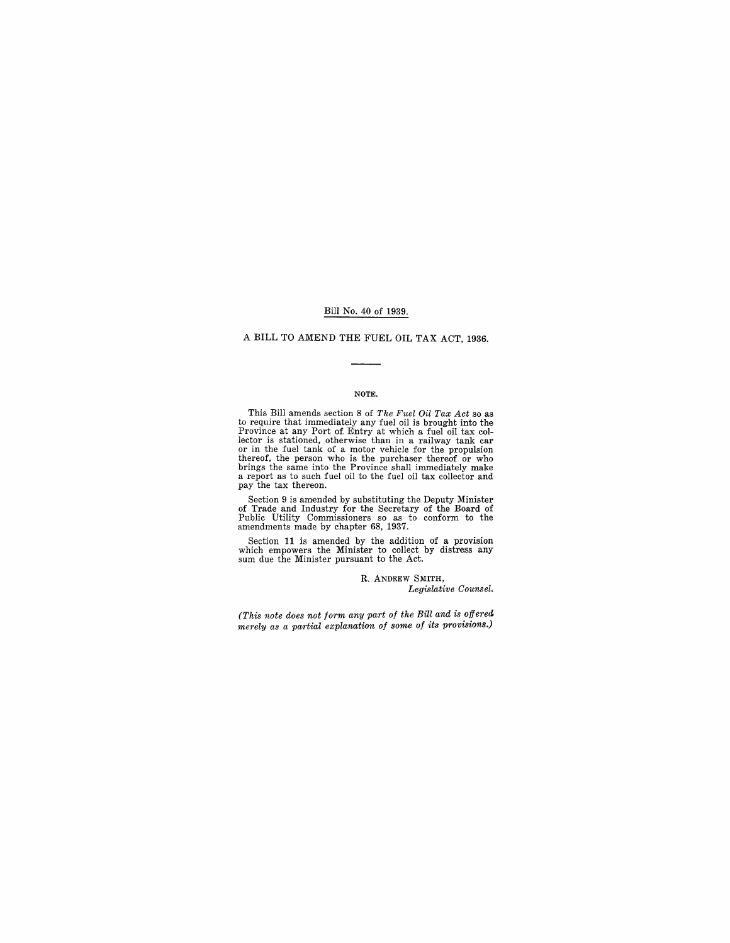#### Bill No. 40 of 1939.

## A BILL TO AMEND THE FUEL OIL TAX ACT, 1936.

#### NOTE.

This Bill amends section 8 of *The Fuel Oil Tax Act* so as<br>to require that immediately any fuel oil is brought into the<br>Province at any Port of Entry at which a fuel oil tax col-<br>lector is stationed, otherwise than in a r thereof, the person who is the purchaser thereof or who brings the same into the Province shall immediately make a report as to such fuel oil to the fuel oil tax collector and pay the tax thereon.

Section 9 is amended by substituting the Deputy Minister of Trade and Industry for the Secretary of the Board of Public Utility Commissioners so as to conform to the amendments made by chapter 68, 1937.

Section 11 is amended by the addition of a provision which empowers the Minister to collect by distress any sum due the Minister pursuant to the Act.

> R. ANDREW SMITH, *Legislative Counsel.*

*(This note does not form any part of the Bill and is offered. merely as a partial explanation of some of its provisions.)*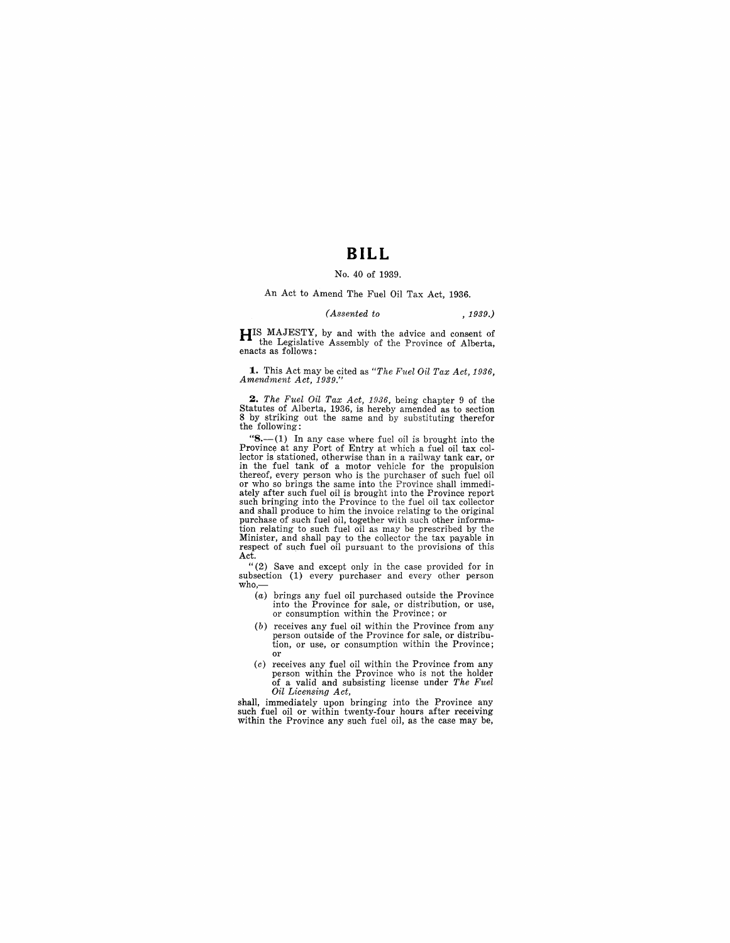## **BILL**

#### No. 40 of 1939.

## An Act to Amend The Fuel Oil Tax Act, 1936.

#### *(Assented to* , 1939.)

**HIS** MAJESTY, by and with the advice and consent of the Legislative Assembly of the Province of Alberta, enacts as follows:

**1.** This Act may be cited as *"The Fuel Oil Tax Act, 1936, Amendment Act, 1939."* 

2. *The Fuel Oil Tax Act, 1936*, being chapter 9 of the Statutes of Alberta, 1936, is hereby amended as to section 8 by striking out the same and by substituting therefor the following:

" $8-$ (1) In any case where fuel oil is brought into the Province at any Port of Entry at which a fuel oil tax collector is stationed, otherwise than in a railway tank car, or in the fuel tank of a motor vehicle for the propulsion thereof, every person who is the purchaser of such fuel oil or who so brings the same into the Province shall immediately after such fuel oil is brought into the Province report such bringing into the Province to the fuel oil tax collector and shall produce to him the invoice relating to the original purchase of such fuel oil, together with such other information relating to such fuel oil as may be prescribed by the Minister, and shall pay to the collector the tax payable in respect of such fuel oil pursuant to the pro Act.

"(2) Save and except only in the case provided for in subsection (1) every purchaser and every other person who,-

- (a) brings any fuel oil purchased outside the Province into the Province for sale, or distribution, or use, or consumption within the Province; or
- (b) receives any fuel oil within the Province from any person outside of the Province for sale, or distribu-tion, or use, or consumption within the Province; or
- (c) receives any fuel oil within the Province from any person within the Province who is not the holder of a valid and subsisting license under *The Fuel Oil Licensing Act,*

shall, immediately upon bringing into the Province any such fuel oil or within twenty-four hours after receiving within the Province any such fuel oil, as the case may be,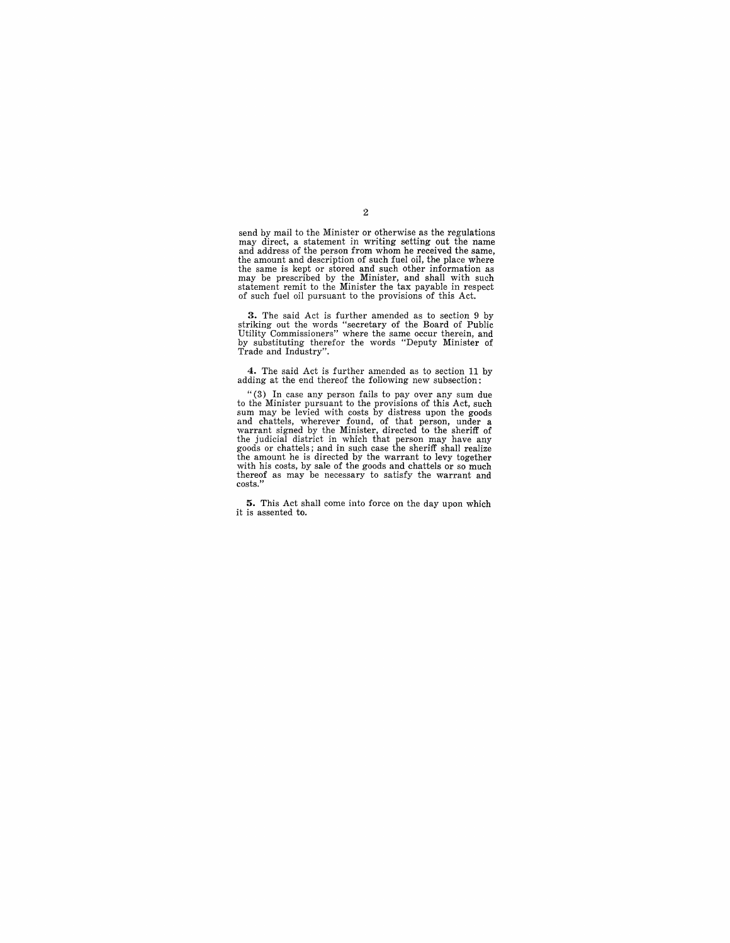send by mail to the Minister or otherwise as the regulations may direct, a statement in writing setting out the name<br>and address of the person from whom he received the same,<br>the amount and description of such fuel oil, the place where<br>the same is kept or stored and such other infor of such fuel oil pursuant to the provisions of this Act.

3. The said Act is further amended as to section 9 by striking out the words "secretary of the Board of Public Utility Commissioners" where the same occur therein, and by substituting therefor the words "Deputy Minister of

**4.** The said Act is further amended as to section 11 by adding at the end thereof the following new subsection:

"(3) **In** case any person fails to pay over any sum due to the Minister pursuant to the provisions of this Act, such sum may be levied with costs by distress upon the goods and chattels, wherever found, of that person, under a warrant signed by the Minister, directed to the sheriff of the judicial district in which that person may have any goods or chattels; and in such case the sheriff shall thereof as may be necessary to satisfy the warrant and costs.'

**5.** This Act shall come into force on the day upon which it is assented to.

2